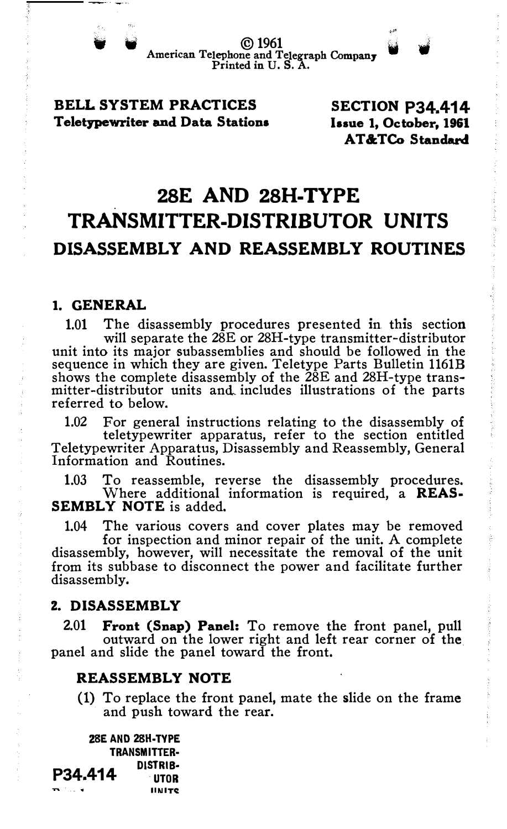• ©1961 American Telephone .. and Telegraph Company . Printed in U.S. A.

## BELL SYSTEM PRACTICES Teletypewriter and Data Stations

SECTION P34.414 Issue 1, October, 1961 AT&TCo Standard

# 28E AND 28H-TYPE TRANSMITTER-DISTRIBUTOR UNITS DISASSEMBLY AND REASSEMBLY ROUTINES

# 1. GENERAL

1.01 The disassembly procedures presented in. this section will separate the 28E or 28H-type transmitter-distributor unit into its major subassemblies and should be followed in the sequence in which they are given. Teletype Parts Bulletin 1161B shows the complete disassembly of the 28E and 28H-type transmitter-distributor units and, includes illustrations of the parts referred to below.

1.02 For general instructions relating to the disassembly of teletypewriter apparatus, refer to the section entitled Teletypewriter Apparatus, Disassembly and Reassembly, General Information and Routines.

1.03 To reassemble, reverse the disassembly procedures. Where additional information is required, a REAS-SEMBLY NOTE is added.

1.04 The various covers and cover plates may be removed for inspection and minor repair of the unit. A complete disassembly, however, will necessitate the removal of the unit from its subbase to disconnect the power and facilitate further disassembly.

#### 2. DISASSEMBLY

2.01 Front (Snap) Panel: To remove the front panel, pull outward on the lower right and left rear corner of the panel and slide the panel toward the front.

#### REASSEMBLY NOTE

(1) To replace the front panel, mate the slide on the frame and push toward the rear.

2SE AND 2SH·TVPE TRANSMITTER· P34.414 **DISTRIB-**IINITC:.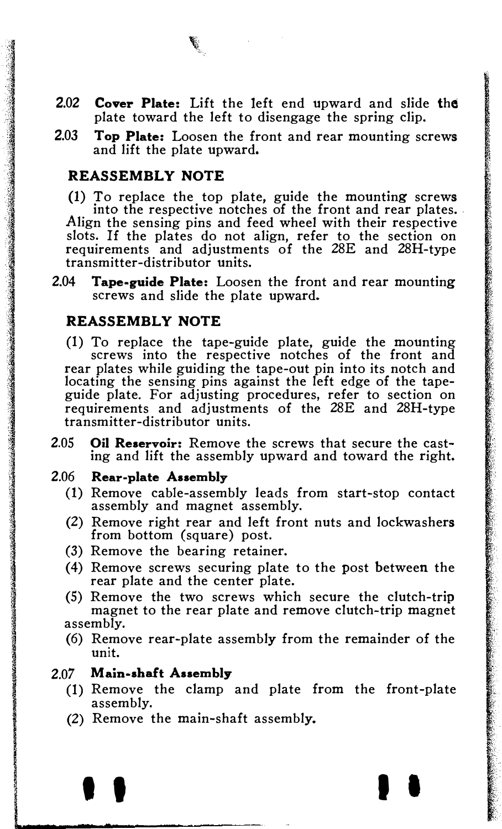- 2.02 Cover Plate: Lift the left end upward and slide the plate toward the left to disengage the spring clip.
- 2.03 Top Plate: Loosen the front and rear mounting screws and lift the plate upward.

#### REASSEMBLY NOTE

(1) To replace the top plate, guide the mounting screws into the respective notches of the front and rear plates. Align the sensing pins and feed wheel with their respective slots. If the plates do not align, refer to the section on requirements and adjustments of the 28E and 28H-type transmitter-distributor units.

2.04 Tape-guide Plate: Loosen the front and rear mounting screws and slide the plate upward.

#### REASSEMBLY NOTE

(1) To replace the tape-guide plate, guide the mounting screws into the respective notches of the front and rear plates while guiding the tape-out pin into its notch and locating the sensing pins against the left edge of the tapeguide plate. For adjusting procedures, refer to section on requirements and adjustments of the 28E and 28H-type transmitter-distributor units.

2.05 Oil Reservoir: Remove the screws that secure the casting and lift the assembly upward and toward the right.

#### 2.06 Rear-plate Assembly

- (1) Remove cable-assembly leads from start-stop contact assembly and magnet assembly.
- (2) Remove right rear and left front nuts and lockwashers from bottom (square) post.
- (3) Remove the bearing retainer.
- (4) Remove screws securing plate to the post between the rear plate and the center plate.
- (5) Remove the two screws which secure the clutch-trip magnet to the rear plate and remove clutch-trip magnet assembly.
- (6) Remove rear-plate assembly from the remainder of the unit.

## 2.07 Main-shaft Assembly

•

leads and a second control.<br>The control of the control of the control of the control of the control of the control of the control of the c<br>The control of the control of the control of the control of the control of the cont

(1) Remove the clamp and plate from the front-plate assembly.

**I I I I I** 

(2) Remove the main-shaft assembly.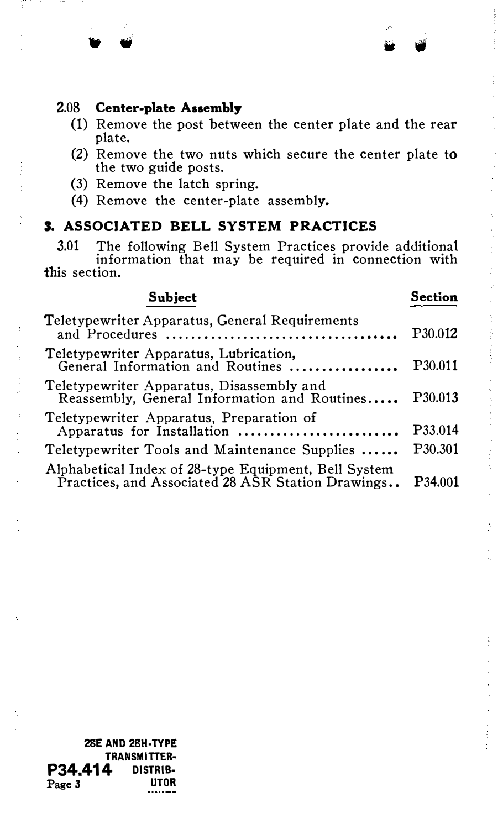#### 2.08 Center-plate Assembly

(1) Remove the post between the center plate and the rear plate.

" w • •

- (2) Remove the two nuts which secure the center plate to the two guide posts.
- (3) Remove the latch spring.
- (4) Remove the center-plate assembly.

# 3. ASSOCIATED BELL SYSTEM PRACTICES

3.01 The following Bell System Practices provide additional information that may be required in connection with this section.

# Subject

Teletypewriter Apparatus, General Requirements and Procedures ........................ Teletypewriter Apparatus, Lubrication, General Information and Routines ..... Teletypewriter Apparatus, Disassembly and Reassembly, General Information and Routines . • • •• Teletypewriter Apparatus, Preparation of Apparatus for Installation .......... Teletypewriter Tools and Maintenance Supplies ...... Alphabetical Index of 28-type Equipment, Bell System Practices, and Associated 28 ASR Station Drawings.. P30.012 P30.011 P30.013 P33.014 P30.301 P34.001

Section

28E AND 2SH-TYPE TRANSMITTER· **P34.414** DISTRIB-<br>Page 3 Page 3